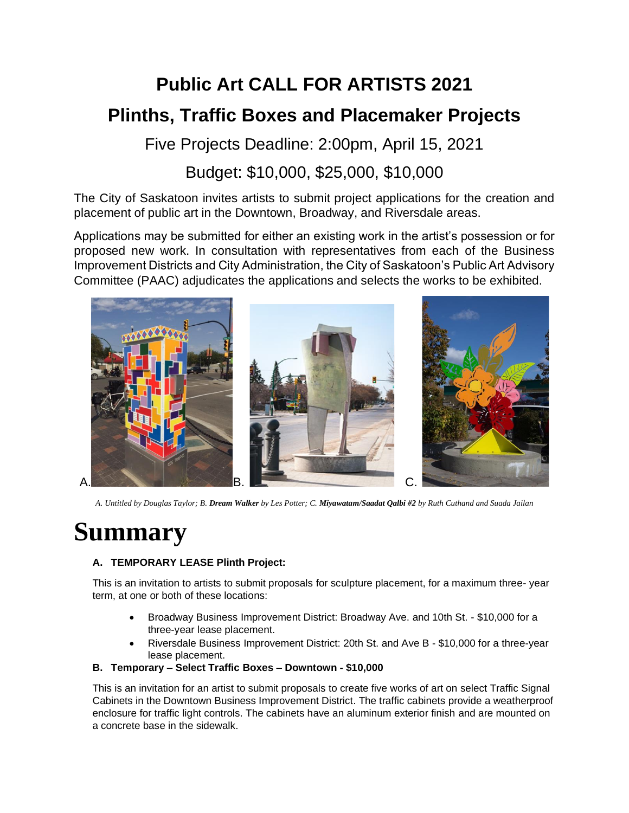# **Public Art CALL FOR ARTISTS 2021 Plinths, Traffic Boxes and Placemaker Projects**

Five Projects Deadline: 2:00pm, April 15, 2021

# Budget: \$10,000, \$25,000, \$10,000

The City of Saskatoon invites artists to submit project applications for the creation and placement of public art in the Downtown, Broadway, and Riversdale areas.

Applications may be submitted for either an existing work in the artist's possession or for proposed new work. In consultation with representatives from each of the Business Improvement Districts and City Administration, the City of Saskatoon's Public Art Advisory Committee (PAAC) adjudicates the applications and selects the works to be exhibited.



*A. Untitled by Douglas Taylor; B. Dream Walker by Les Potter; C. Miyawatam/Saadat Qalbi #2 by Ruth Cuthand and Suada Jailan*

# **Summary**

### **A. TEMPORARY LEASE Plinth Project:**

This is an invitation to artists to submit proposals for sculpture placement, for a maximum three- year term, at one or both of these locations:

- Broadway Business Improvement District: Broadway Ave. and 10th St. \$10,000 for a three-year lease placement.
- Riversdale Business Improvement District: 20th St. and Ave B \$10,000 for a three-year lease placement.

#### **B. Temporary – Select Traffic Boxes – Downtown - \$10,000**

This is an invitation for an artist to submit proposals to create five works of art on select Traffic Signal Cabinets in the Downtown Business Improvement District. The traffic cabinets provide a weatherproof enclosure for traffic light controls. The cabinets have an aluminum exterior finish and are mounted on a concrete base in the sidewalk.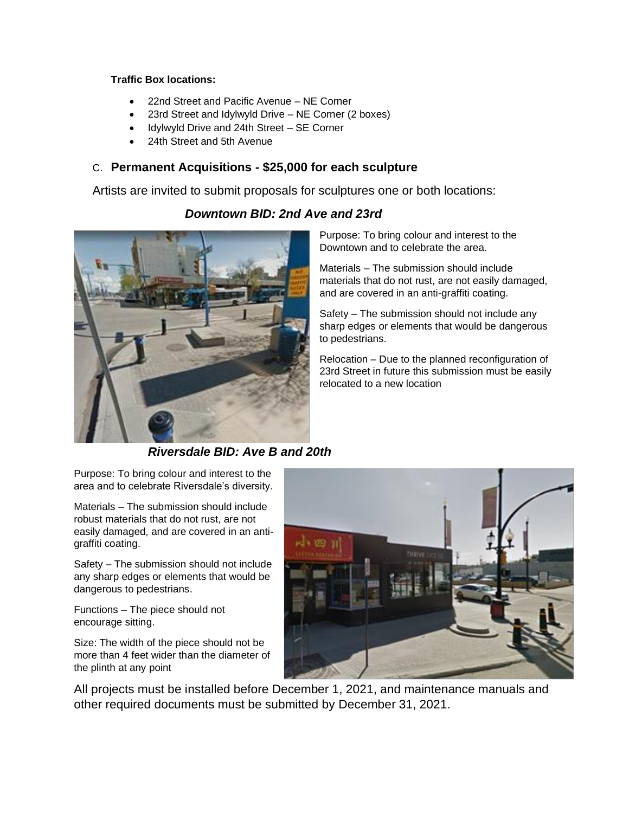#### **Traffic Box locations:**

- 22nd Street and Pacific Avenue NE Corner
- 23rd Street and Idylwyld Drive NE Corner (2 boxes)
- Idylwyld Drive and 24th Street SE Corner
- 24th Street and 5th Avenue

#### C. **Permanent Acquisitions - \$25,000 for each sculpture**

Artists are invited to submit proposals for sculptures one or both locations:

### *Downtown BID: 2nd Ave and 23rd*



Purpose: To bring colour and interest to the Downtown and to celebrate the area.

Materials – The submission should include materials that do not rust, are not easily damaged, and are covered in an anti-graffiti coating.

Safety – The submission should not include any sharp edges or elements that would be dangerous to pedestrians.

Relocation – Due to the planned reconfiguration of 23rd Street in future this submission must be easily relocated to a new location

*Riversdale BID: Ave B and 20th*

Purpose: To bring colour and interest to the area and to celebrate Riversdale's diversity.

Materials – The submission should include robust materials that do not rust, are not easily damaged, and are covered in an antigraffiti coating.

Safety – The submission should not include any sharp edges or elements that would be dangerous to pedestrians.

Functions – The piece should not encourage sitting.

Size: The width of the piece should not be more than 4 feet wider than the diameter of the plinth at any point



All projects must be installed before December 1, 2021, and maintenance manuals and other required documents must be submitted by December 31, 2021.